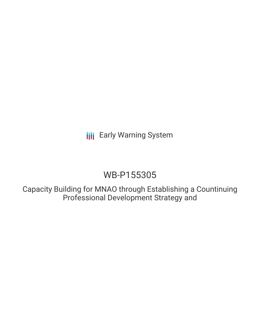**III** Early Warning System

# WB-P155305

Capacity Building for MNAO through Establishing a Countinuing Professional Development Strategy and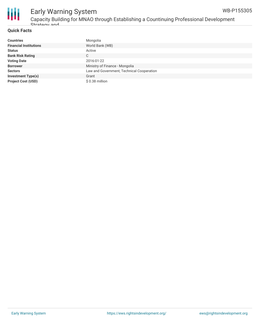

## Early Warning System Capacity Building for MNAO through Establishing a Countinuing Professional Development Strategy and

#### **Quick Facts**

| <b>Countries</b>              | Mongolia                                  |
|-------------------------------|-------------------------------------------|
| <b>Financial Institutions</b> | World Bank (WB)                           |
| <b>Status</b>                 | Active                                    |
| <b>Bank Risk Rating</b>       | С                                         |
| <b>Voting Date</b>            | 2016-01-22                                |
| <b>Borrower</b>               | Ministry of Finance - Mongolia            |
| <b>Sectors</b>                | Law and Government, Technical Cooperation |
| <b>Investment Type(s)</b>     | Grant                                     |
| <b>Project Cost (USD)</b>     | $$0.38$ million                           |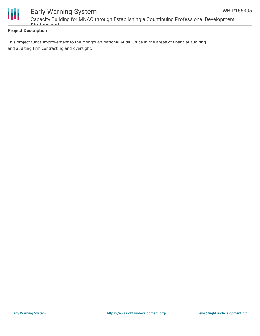



# Early Warning System Capacity Building for MNAO through Establishing a Countinuing Professional Development Strategy and

### **Project Description**

This project funds improvement to the Mongolian National Audit Office in the areas of financial auditing and auditing firm contracting and oversight.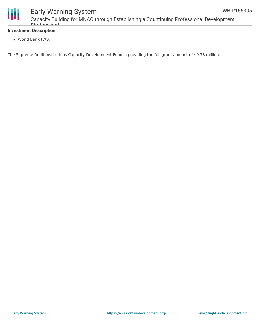

# Early Warning System

Capacity Building for MNAO through Establishing a Countinuing Professional Development Strategy and

### **Investment Description**

World Bank (WB)

The Supreme Audit Institutions Capacity Development Fund is providing the full grant amount of \$0.38 million.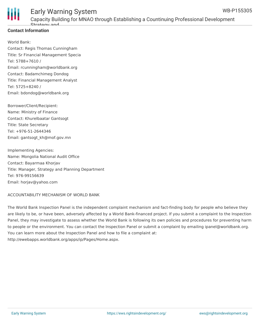

### **Contact Information**

World Bank: Contact: Regis Thomas Cunningham Title: Sr Financial Management Specia Tel: 5788+7610 / Email: rcunningham@worldbank.org Contact: Badamchimeg Dondog Title: Financial Management Analyst Tel: 5725+8240 / Email: bdondog@worldbank.org

Borrower/Client/Recipient: Name: Ministry of Finance Contact: Khurelbaatar Gantsogt Title: State Secretary Tel: +976-51-2644346 Email: gantsogt\_kh@mof.gov.mn

Implementing Agencies: Name: Mongolia National Audit Office Contact: Bayarmaa Khorjav Title: Manager, Strategy and Planning Department Tel: 976-99156639 Email: horjav@yahoo.com

ACCOUNTABILITY MECHANISM OF WORLD BANK

The World Bank Inspection Panel is the independent complaint mechanism and fact-finding body for people who believe they are likely to be, or have been, adversely affected by a World Bank-financed project. If you submit a complaint to the Inspection Panel, they may investigate to assess whether the World Bank is following its own policies and procedures for preventing harm to people or the environment. You can contact the Inspection Panel or submit a complaint by emailing ipanel@worldbank.org. You can learn more about the Inspection Panel and how to file a complaint at: http://ewebapps.worldbank.org/apps/ip/Pages/Home.aspx.